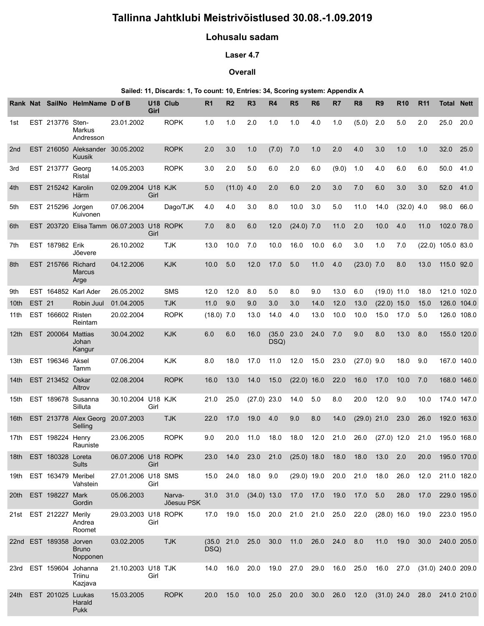# Tallinna Jahtklubi Meistrivõistlused 30.08.-1.09.2019

## Lohusalu sadam

#### Laser 4.7

### **Overall**

#### Sailed: 11, Discards: 1, To count: 10, Entries: 34, Scoring system: Appendix A

| Tallinna Jahtklubi Meistrivõistlused 30.08.-1.09.2019<br>Lohusalu sadam<br>Laser 4.7<br>Overall<br>Sailed: 11, Discards: 1, To count: 10, Entries: 34, Scoring system: Appendix A<br>Rank Nat SailNo HelmName D of B<br>U18 Club<br>R <sub>9</sub><br><b>R10</b><br><b>R11</b><br><b>Total Nett</b><br>R1<br>R <sub>2</sub><br>R <sub>6</sub><br>R7<br>R <sub>8</sub><br>R <sub>3</sub><br>R4<br>R5<br>Girl<br><b>ROPK</b><br>EST 213776 Sten-<br>23.01.2002<br>2.0<br>(5.0)<br>2.0<br>25.0 20.0<br>1.0<br>1.0<br>1.0<br>1.0<br>4.0<br>1.0<br>5.0<br>2.0<br>1st<br>Markus<br>Andresson<br><b>ROPK</b><br>EST 216050 Aleksander 30.05.2002<br>32.0 25.0<br>3.0<br>1.0<br>$(7.0)$ 7.0<br>2.0<br>4.0<br>3.0<br>1.0<br>1.0<br>2nd<br>2.0<br>1.0<br>Kuusik<br>EST 213777 Georg<br>14.05.2003<br><b>ROPK</b><br>$(9.0)$ 1.0<br>2.0<br>5.0<br>6.0<br>2.0<br>6.0<br>4.0<br>6.0<br>6.0<br>50.0 41.0<br>3rd<br>3.0<br>Ristal<br>EST 215242 Karolin<br>02.09.2004 U18 KJK<br>$(11.0)$ 4.0<br>52.0 41.0<br>5.0<br>2.0<br>6.0<br>2.0<br>3.0<br>7.0<br>6.0<br>3.0<br>3.0<br>4th<br>Girl<br>Härm<br>EST 215296 Jorgen<br>07.06.2004<br>Dago/TJK<br>4.0<br>4.0<br>3.0<br>8.0<br>10.0<br>3.0<br>5.0<br>11.0<br>14.0<br>$(32.0)$ 4.0<br>5th<br>98.0 66.0<br>Kuivonen<br>EST 203720 Elisa Tamm 06.07.2003 U18 ROPK<br>$(24.0)$ 7.0<br>10.0<br>102.0 78.0<br>7.0<br>8.0<br>6.0<br>12.0<br>11.0<br>2.0<br>4.0<br>11.0<br>6th<br>Girl<br>EST 187982 Erik<br>26.10.2002<br><b>TJK</b><br>7th<br>13.0<br>10.0 7.0<br>10.0<br>16.0 10.0 6.0<br>3.0<br>1.0<br>$(22.0)$ 105.0 83.0<br>7.0<br>Jõevere<br><b>KJK</b><br>EST 215766<br>Richard<br>04.12.2006<br>17.0<br>$(23.0)$ 7.0<br>13.0 115.0 92.0<br>8th<br>10.0<br>5.0<br>12.0<br>5.0<br>$11.0$ 4.0<br>8.0<br><b>Marcus</b><br>Arge<br>EST 164852 Karl Ader<br>26.05.2002<br>12.0<br>13.0 6.0<br>$(19.0)$ 11.0 18.0 121.0 102.0<br>SMS<br>12.0<br>8.0<br>5.0<br>8.0<br>9.0<br>9th<br><b>EST 21</b><br>Robin Juul<br>01.04.2005<br><b>TJK</b><br>$11.0$ $9.0$<br>12.0 13.0<br>(22.0) 15.0 15.0 126.0 104.0<br>9.0<br>3.0<br>3.0<br>14.0<br>10th<br>11th EST 166602 Risten<br><b>ROPK</b><br>20.02.2004<br>$(18.0)$ 7.0<br>10.0<br>13.0<br>14.0 4.0<br>13.0<br>10.0<br>15.0 17.0 5.0<br>126.0 108.0<br>Reintam<br>12th EST 200064 Mattias<br>30.04.2002<br><b>KJK</b><br>(35.0 23.0 24.0 7.0<br>155.0 120.0<br>6.0<br>6.0<br>16.0<br>9.0<br>8.0<br>13.0 8.0<br>Johan<br>DSQ)<br>Kangur<br>13th EST 196346 Aksel<br>07.06.2004<br>KJK<br>11.0 12.0 15.0 23.0 (27.0) 9.0<br>18.0<br>18.0 9.0<br>167.0 140.0<br>8.0<br>17.0<br>Tamm<br><b>ROPK</b><br>14th EST 213452 Oskar<br>02.08.2004<br>(22.0) 16.0 22.0 16.0 17.0 10.0 7.0<br>13.0<br>14.0<br>15.0<br>168.0 146.0<br>16.0<br>Altrov<br>15th EST 189678 Susanna<br>30.10.2004 U18 KJK<br>$(27.0)$ 23.0 14.0 5.0<br>25.0<br>8.0<br>20.0<br>12.0 9.0<br>10.0<br>174.0 147.0<br>21.0<br>Silluta<br>Girl<br>16th EST 213778 Alex Georg 20.07.2003<br><b>TJK</b><br>14.0<br>$(29.0)$ 21.0 23.0 26.0<br>17.0<br>19.0 4.0<br>9.0<br>8.0<br>192.0 163.0<br>22.0<br>Selling<br>17th EST 198224 Henry<br><b>ROPK</b><br>23.06.2005<br>18.0  12.0  21.0  26.0  (27.0)  12.0  21.0<br>20.0<br>11.0<br>18.0<br>195.0 168.0<br>9.0<br>Rauniste<br>18th EST 180328 Loreta<br>06.07.2006 U18 ROPK<br>$(25.0)$ 18.0 18.0 18.0 13.0 2.0<br>23.0 14.0 23.0 21.0<br>20.0 195.0 170.0<br>Sults<br>Girl<br>27.01.2006 U18 SMS<br>19th EST 163479 Meribel<br>15.0 24.0<br>18.0 9.0<br>(29.0) 19.0 20.0 21.0 18.0 26.0 12.0<br>211.0 182.0<br>Vahstein<br>Girl<br>20th EST 198227 Mark<br>05.06.2003<br>28.0 17.0 229.0 195.0<br>31.0 31.0<br>$(34.0)$ 13.0 17.0 17.0 19.0 17.0 5.0<br>Narva-<br>Jõesuu PSK<br>Gordin<br>21st EST 212227 Merily<br>29.03.2003 U18 ROPK<br>17.0  19.0  15.0  20.0  21.0  21.0  25.0  22.0<br>(28.0) 16.0 19.0 223.0 195.0<br>Girl<br>Andrea<br>Roomet<br>22nd EST 189358 Jorven<br>03.02.2005<br><b>TJK</b><br>(35.0 21.0 25.0 30.0 11.0 26.0 24.0 8.0<br>11.0 19.0 30.0 240.0 205.0<br>DSQ)<br><b>Bruno</b><br>Nopponen<br>23rd EST 159604 Johanna<br>21.10.2003 U18 TJK<br>19.0 27.0<br>29.0 16.0 25.0 16.0 27.0 (31.0) 240.0 209.0<br>16.0 20.0<br>14.0<br>Girl<br>Triinu<br>Kazjava<br>24th EST 201025 Luukas<br><b>ROPK</b><br>15.03.2005<br>10.0 25.0 20.0 30.0 26.0 12.0 (31.0) 24.0 28.0 241.0 210.0<br>20.0<br>15.0<br>Harald<br>Pukk |  |  |  |  |  |  |  |  |  |  |
|--------------------------------------------------------------------------------------------------------------------------------------------------------------------------------------------------------------------------------------------------------------------------------------------------------------------------------------------------------------------------------------------------------------------------------------------------------------------------------------------------------------------------------------------------------------------------------------------------------------------------------------------------------------------------------------------------------------------------------------------------------------------------------------------------------------------------------------------------------------------------------------------------------------------------------------------------------------------------------------------------------------------------------------------------------------------------------------------------------------------------------------------------------------------------------------------------------------------------------------------------------------------------------------------------------------------------------------------------------------------------------------------------------------------------------------------------------------------------------------------------------------------------------------------------------------------------------------------------------------------------------------------------------------------------------------------------------------------------------------------------------------------------------------------------------------------------------------------------------------------------------------------------------------------------------------------------------------------------------------------------------------------------------------------------------------------------------------------------------------------------------------------------------------------------------------------------------------------------------------------------------------------------------------------------------------------------------------------------------------------------------------------------------------------------------------------------------------------------------------------------------------------------------------------------------------------------------------------------------------------------------------------------------------------------------------------------------------------------------------------------------------------------------------------------------------------------------------------------------------------------------------------------------------------------------------------------------------------------------------------------------------------------------------------------------------------------------------------------------------------------------------------------------------------------------------------------------------------------------------------------------------------------------------------------------------------------------------------------------------------------------------------------------------------------------------------------------------------------------------------------------------------------------------------------------------------------------------------------------------------------------------------------------------------------------------------------------------------------------------------------------------------------------------------------------------------------------------------------------------------------------------------------------------------------------------------------------------------------------------------------------------------------------------------------------------------------------------------------------------------------------------------------------------------------------------------------------------------------------------------------------------------------------------------------------------------------------|--|--|--|--|--|--|--|--|--|--|
|                                                                                                                                                                                                                                                                                                                                                                                                                                                                                                                                                                                                                                                                                                                                                                                                                                                                                                                                                                                                                                                                                                                                                                                                                                                                                                                                                                                                                                                                                                                                                                                                                                                                                                                                                                                                                                                                                                                                                                                                                                                                                                                                                                                                                                                                                                                                                                                                                                                                                                                                                                                                                                                                                                                                                                                                                                                                                                                                                                                                                                                                                                                                                                                                                                                                                                                                                                                                                                                                                                                                                                                                                                                                                                                                                                                                                                                                                                                                                                                                                                                                                                                                                                                                                                                                                                                                |  |  |  |  |  |  |  |  |  |  |
|                                                                                                                                                                                                                                                                                                                                                                                                                                                                                                                                                                                                                                                                                                                                                                                                                                                                                                                                                                                                                                                                                                                                                                                                                                                                                                                                                                                                                                                                                                                                                                                                                                                                                                                                                                                                                                                                                                                                                                                                                                                                                                                                                                                                                                                                                                                                                                                                                                                                                                                                                                                                                                                                                                                                                                                                                                                                                                                                                                                                                                                                                                                                                                                                                                                                                                                                                                                                                                                                                                                                                                                                                                                                                                                                                                                                                                                                                                                                                                                                                                                                                                                                                                                                                                                                                                                                |  |  |  |  |  |  |  |  |  |  |
|                                                                                                                                                                                                                                                                                                                                                                                                                                                                                                                                                                                                                                                                                                                                                                                                                                                                                                                                                                                                                                                                                                                                                                                                                                                                                                                                                                                                                                                                                                                                                                                                                                                                                                                                                                                                                                                                                                                                                                                                                                                                                                                                                                                                                                                                                                                                                                                                                                                                                                                                                                                                                                                                                                                                                                                                                                                                                                                                                                                                                                                                                                                                                                                                                                                                                                                                                                                                                                                                                                                                                                                                                                                                                                                                                                                                                                                                                                                                                                                                                                                                                                                                                                                                                                                                                                                                |  |  |  |  |  |  |  |  |  |  |
|                                                                                                                                                                                                                                                                                                                                                                                                                                                                                                                                                                                                                                                                                                                                                                                                                                                                                                                                                                                                                                                                                                                                                                                                                                                                                                                                                                                                                                                                                                                                                                                                                                                                                                                                                                                                                                                                                                                                                                                                                                                                                                                                                                                                                                                                                                                                                                                                                                                                                                                                                                                                                                                                                                                                                                                                                                                                                                                                                                                                                                                                                                                                                                                                                                                                                                                                                                                                                                                                                                                                                                                                                                                                                                                                                                                                                                                                                                                                                                                                                                                                                                                                                                                                                                                                                                                                |  |  |  |  |  |  |  |  |  |  |
|                                                                                                                                                                                                                                                                                                                                                                                                                                                                                                                                                                                                                                                                                                                                                                                                                                                                                                                                                                                                                                                                                                                                                                                                                                                                                                                                                                                                                                                                                                                                                                                                                                                                                                                                                                                                                                                                                                                                                                                                                                                                                                                                                                                                                                                                                                                                                                                                                                                                                                                                                                                                                                                                                                                                                                                                                                                                                                                                                                                                                                                                                                                                                                                                                                                                                                                                                                                                                                                                                                                                                                                                                                                                                                                                                                                                                                                                                                                                                                                                                                                                                                                                                                                                                                                                                                                                |  |  |  |  |  |  |  |  |  |  |
|                                                                                                                                                                                                                                                                                                                                                                                                                                                                                                                                                                                                                                                                                                                                                                                                                                                                                                                                                                                                                                                                                                                                                                                                                                                                                                                                                                                                                                                                                                                                                                                                                                                                                                                                                                                                                                                                                                                                                                                                                                                                                                                                                                                                                                                                                                                                                                                                                                                                                                                                                                                                                                                                                                                                                                                                                                                                                                                                                                                                                                                                                                                                                                                                                                                                                                                                                                                                                                                                                                                                                                                                                                                                                                                                                                                                                                                                                                                                                                                                                                                                                                                                                                                                                                                                                                                                |  |  |  |  |  |  |  |  |  |  |
|                                                                                                                                                                                                                                                                                                                                                                                                                                                                                                                                                                                                                                                                                                                                                                                                                                                                                                                                                                                                                                                                                                                                                                                                                                                                                                                                                                                                                                                                                                                                                                                                                                                                                                                                                                                                                                                                                                                                                                                                                                                                                                                                                                                                                                                                                                                                                                                                                                                                                                                                                                                                                                                                                                                                                                                                                                                                                                                                                                                                                                                                                                                                                                                                                                                                                                                                                                                                                                                                                                                                                                                                                                                                                                                                                                                                                                                                                                                                                                                                                                                                                                                                                                                                                                                                                                                                |  |  |  |  |  |  |  |  |  |  |
|                                                                                                                                                                                                                                                                                                                                                                                                                                                                                                                                                                                                                                                                                                                                                                                                                                                                                                                                                                                                                                                                                                                                                                                                                                                                                                                                                                                                                                                                                                                                                                                                                                                                                                                                                                                                                                                                                                                                                                                                                                                                                                                                                                                                                                                                                                                                                                                                                                                                                                                                                                                                                                                                                                                                                                                                                                                                                                                                                                                                                                                                                                                                                                                                                                                                                                                                                                                                                                                                                                                                                                                                                                                                                                                                                                                                                                                                                                                                                                                                                                                                                                                                                                                                                                                                                                                                |  |  |  |  |  |  |  |  |  |  |
|                                                                                                                                                                                                                                                                                                                                                                                                                                                                                                                                                                                                                                                                                                                                                                                                                                                                                                                                                                                                                                                                                                                                                                                                                                                                                                                                                                                                                                                                                                                                                                                                                                                                                                                                                                                                                                                                                                                                                                                                                                                                                                                                                                                                                                                                                                                                                                                                                                                                                                                                                                                                                                                                                                                                                                                                                                                                                                                                                                                                                                                                                                                                                                                                                                                                                                                                                                                                                                                                                                                                                                                                                                                                                                                                                                                                                                                                                                                                                                                                                                                                                                                                                                                                                                                                                                                                |  |  |  |  |  |  |  |  |  |  |
|                                                                                                                                                                                                                                                                                                                                                                                                                                                                                                                                                                                                                                                                                                                                                                                                                                                                                                                                                                                                                                                                                                                                                                                                                                                                                                                                                                                                                                                                                                                                                                                                                                                                                                                                                                                                                                                                                                                                                                                                                                                                                                                                                                                                                                                                                                                                                                                                                                                                                                                                                                                                                                                                                                                                                                                                                                                                                                                                                                                                                                                                                                                                                                                                                                                                                                                                                                                                                                                                                                                                                                                                                                                                                                                                                                                                                                                                                                                                                                                                                                                                                                                                                                                                                                                                                                                                |  |  |  |  |  |  |  |  |  |  |
|                                                                                                                                                                                                                                                                                                                                                                                                                                                                                                                                                                                                                                                                                                                                                                                                                                                                                                                                                                                                                                                                                                                                                                                                                                                                                                                                                                                                                                                                                                                                                                                                                                                                                                                                                                                                                                                                                                                                                                                                                                                                                                                                                                                                                                                                                                                                                                                                                                                                                                                                                                                                                                                                                                                                                                                                                                                                                                                                                                                                                                                                                                                                                                                                                                                                                                                                                                                                                                                                                                                                                                                                                                                                                                                                                                                                                                                                                                                                                                                                                                                                                                                                                                                                                                                                                                                                |  |  |  |  |  |  |  |  |  |  |
|                                                                                                                                                                                                                                                                                                                                                                                                                                                                                                                                                                                                                                                                                                                                                                                                                                                                                                                                                                                                                                                                                                                                                                                                                                                                                                                                                                                                                                                                                                                                                                                                                                                                                                                                                                                                                                                                                                                                                                                                                                                                                                                                                                                                                                                                                                                                                                                                                                                                                                                                                                                                                                                                                                                                                                                                                                                                                                                                                                                                                                                                                                                                                                                                                                                                                                                                                                                                                                                                                                                                                                                                                                                                                                                                                                                                                                                                                                                                                                                                                                                                                                                                                                                                                                                                                                                                |  |  |  |  |  |  |  |  |  |  |
|                                                                                                                                                                                                                                                                                                                                                                                                                                                                                                                                                                                                                                                                                                                                                                                                                                                                                                                                                                                                                                                                                                                                                                                                                                                                                                                                                                                                                                                                                                                                                                                                                                                                                                                                                                                                                                                                                                                                                                                                                                                                                                                                                                                                                                                                                                                                                                                                                                                                                                                                                                                                                                                                                                                                                                                                                                                                                                                                                                                                                                                                                                                                                                                                                                                                                                                                                                                                                                                                                                                                                                                                                                                                                                                                                                                                                                                                                                                                                                                                                                                                                                                                                                                                                                                                                                                                |  |  |  |  |  |  |  |  |  |  |
|                                                                                                                                                                                                                                                                                                                                                                                                                                                                                                                                                                                                                                                                                                                                                                                                                                                                                                                                                                                                                                                                                                                                                                                                                                                                                                                                                                                                                                                                                                                                                                                                                                                                                                                                                                                                                                                                                                                                                                                                                                                                                                                                                                                                                                                                                                                                                                                                                                                                                                                                                                                                                                                                                                                                                                                                                                                                                                                                                                                                                                                                                                                                                                                                                                                                                                                                                                                                                                                                                                                                                                                                                                                                                                                                                                                                                                                                                                                                                                                                                                                                                                                                                                                                                                                                                                                                |  |  |  |  |  |  |  |  |  |  |
|                                                                                                                                                                                                                                                                                                                                                                                                                                                                                                                                                                                                                                                                                                                                                                                                                                                                                                                                                                                                                                                                                                                                                                                                                                                                                                                                                                                                                                                                                                                                                                                                                                                                                                                                                                                                                                                                                                                                                                                                                                                                                                                                                                                                                                                                                                                                                                                                                                                                                                                                                                                                                                                                                                                                                                                                                                                                                                                                                                                                                                                                                                                                                                                                                                                                                                                                                                                                                                                                                                                                                                                                                                                                                                                                                                                                                                                                                                                                                                                                                                                                                                                                                                                                                                                                                                                                |  |  |  |  |  |  |  |  |  |  |
|                                                                                                                                                                                                                                                                                                                                                                                                                                                                                                                                                                                                                                                                                                                                                                                                                                                                                                                                                                                                                                                                                                                                                                                                                                                                                                                                                                                                                                                                                                                                                                                                                                                                                                                                                                                                                                                                                                                                                                                                                                                                                                                                                                                                                                                                                                                                                                                                                                                                                                                                                                                                                                                                                                                                                                                                                                                                                                                                                                                                                                                                                                                                                                                                                                                                                                                                                                                                                                                                                                                                                                                                                                                                                                                                                                                                                                                                                                                                                                                                                                                                                                                                                                                                                                                                                                                                |  |  |  |  |  |  |  |  |  |  |
|                                                                                                                                                                                                                                                                                                                                                                                                                                                                                                                                                                                                                                                                                                                                                                                                                                                                                                                                                                                                                                                                                                                                                                                                                                                                                                                                                                                                                                                                                                                                                                                                                                                                                                                                                                                                                                                                                                                                                                                                                                                                                                                                                                                                                                                                                                                                                                                                                                                                                                                                                                                                                                                                                                                                                                                                                                                                                                                                                                                                                                                                                                                                                                                                                                                                                                                                                                                                                                                                                                                                                                                                                                                                                                                                                                                                                                                                                                                                                                                                                                                                                                                                                                                                                                                                                                                                |  |  |  |  |  |  |  |  |  |  |
|                                                                                                                                                                                                                                                                                                                                                                                                                                                                                                                                                                                                                                                                                                                                                                                                                                                                                                                                                                                                                                                                                                                                                                                                                                                                                                                                                                                                                                                                                                                                                                                                                                                                                                                                                                                                                                                                                                                                                                                                                                                                                                                                                                                                                                                                                                                                                                                                                                                                                                                                                                                                                                                                                                                                                                                                                                                                                                                                                                                                                                                                                                                                                                                                                                                                                                                                                                                                                                                                                                                                                                                                                                                                                                                                                                                                                                                                                                                                                                                                                                                                                                                                                                                                                                                                                                                                |  |  |  |  |  |  |  |  |  |  |
|                                                                                                                                                                                                                                                                                                                                                                                                                                                                                                                                                                                                                                                                                                                                                                                                                                                                                                                                                                                                                                                                                                                                                                                                                                                                                                                                                                                                                                                                                                                                                                                                                                                                                                                                                                                                                                                                                                                                                                                                                                                                                                                                                                                                                                                                                                                                                                                                                                                                                                                                                                                                                                                                                                                                                                                                                                                                                                                                                                                                                                                                                                                                                                                                                                                                                                                                                                                                                                                                                                                                                                                                                                                                                                                                                                                                                                                                                                                                                                                                                                                                                                                                                                                                                                                                                                                                |  |  |  |  |  |  |  |  |  |  |
|                                                                                                                                                                                                                                                                                                                                                                                                                                                                                                                                                                                                                                                                                                                                                                                                                                                                                                                                                                                                                                                                                                                                                                                                                                                                                                                                                                                                                                                                                                                                                                                                                                                                                                                                                                                                                                                                                                                                                                                                                                                                                                                                                                                                                                                                                                                                                                                                                                                                                                                                                                                                                                                                                                                                                                                                                                                                                                                                                                                                                                                                                                                                                                                                                                                                                                                                                                                                                                                                                                                                                                                                                                                                                                                                                                                                                                                                                                                                                                                                                                                                                                                                                                                                                                                                                                                                |  |  |  |  |  |  |  |  |  |  |
|                                                                                                                                                                                                                                                                                                                                                                                                                                                                                                                                                                                                                                                                                                                                                                                                                                                                                                                                                                                                                                                                                                                                                                                                                                                                                                                                                                                                                                                                                                                                                                                                                                                                                                                                                                                                                                                                                                                                                                                                                                                                                                                                                                                                                                                                                                                                                                                                                                                                                                                                                                                                                                                                                                                                                                                                                                                                                                                                                                                                                                                                                                                                                                                                                                                                                                                                                                                                                                                                                                                                                                                                                                                                                                                                                                                                                                                                                                                                                                                                                                                                                                                                                                                                                                                                                                                                |  |  |  |  |  |  |  |  |  |  |
|                                                                                                                                                                                                                                                                                                                                                                                                                                                                                                                                                                                                                                                                                                                                                                                                                                                                                                                                                                                                                                                                                                                                                                                                                                                                                                                                                                                                                                                                                                                                                                                                                                                                                                                                                                                                                                                                                                                                                                                                                                                                                                                                                                                                                                                                                                                                                                                                                                                                                                                                                                                                                                                                                                                                                                                                                                                                                                                                                                                                                                                                                                                                                                                                                                                                                                                                                                                                                                                                                                                                                                                                                                                                                                                                                                                                                                                                                                                                                                                                                                                                                                                                                                                                                                                                                                                                |  |  |  |  |  |  |  |  |  |  |
|                                                                                                                                                                                                                                                                                                                                                                                                                                                                                                                                                                                                                                                                                                                                                                                                                                                                                                                                                                                                                                                                                                                                                                                                                                                                                                                                                                                                                                                                                                                                                                                                                                                                                                                                                                                                                                                                                                                                                                                                                                                                                                                                                                                                                                                                                                                                                                                                                                                                                                                                                                                                                                                                                                                                                                                                                                                                                                                                                                                                                                                                                                                                                                                                                                                                                                                                                                                                                                                                                                                                                                                                                                                                                                                                                                                                                                                                                                                                                                                                                                                                                                                                                                                                                                                                                                                                |  |  |  |  |  |  |  |  |  |  |
|                                                                                                                                                                                                                                                                                                                                                                                                                                                                                                                                                                                                                                                                                                                                                                                                                                                                                                                                                                                                                                                                                                                                                                                                                                                                                                                                                                                                                                                                                                                                                                                                                                                                                                                                                                                                                                                                                                                                                                                                                                                                                                                                                                                                                                                                                                                                                                                                                                                                                                                                                                                                                                                                                                                                                                                                                                                                                                                                                                                                                                                                                                                                                                                                                                                                                                                                                                                                                                                                                                                                                                                                                                                                                                                                                                                                                                                                                                                                                                                                                                                                                                                                                                                                                                                                                                                                |  |  |  |  |  |  |  |  |  |  |
|                                                                                                                                                                                                                                                                                                                                                                                                                                                                                                                                                                                                                                                                                                                                                                                                                                                                                                                                                                                                                                                                                                                                                                                                                                                                                                                                                                                                                                                                                                                                                                                                                                                                                                                                                                                                                                                                                                                                                                                                                                                                                                                                                                                                                                                                                                                                                                                                                                                                                                                                                                                                                                                                                                                                                                                                                                                                                                                                                                                                                                                                                                                                                                                                                                                                                                                                                                                                                                                                                                                                                                                                                                                                                                                                                                                                                                                                                                                                                                                                                                                                                                                                                                                                                                                                                                                                |  |  |  |  |  |  |  |  |  |  |
|                                                                                                                                                                                                                                                                                                                                                                                                                                                                                                                                                                                                                                                                                                                                                                                                                                                                                                                                                                                                                                                                                                                                                                                                                                                                                                                                                                                                                                                                                                                                                                                                                                                                                                                                                                                                                                                                                                                                                                                                                                                                                                                                                                                                                                                                                                                                                                                                                                                                                                                                                                                                                                                                                                                                                                                                                                                                                                                                                                                                                                                                                                                                                                                                                                                                                                                                                                                                                                                                                                                                                                                                                                                                                                                                                                                                                                                                                                                                                                                                                                                                                                                                                                                                                                                                                                                                |  |  |  |  |  |  |  |  |  |  |
|                                                                                                                                                                                                                                                                                                                                                                                                                                                                                                                                                                                                                                                                                                                                                                                                                                                                                                                                                                                                                                                                                                                                                                                                                                                                                                                                                                                                                                                                                                                                                                                                                                                                                                                                                                                                                                                                                                                                                                                                                                                                                                                                                                                                                                                                                                                                                                                                                                                                                                                                                                                                                                                                                                                                                                                                                                                                                                                                                                                                                                                                                                                                                                                                                                                                                                                                                                                                                                                                                                                                                                                                                                                                                                                                                                                                                                                                                                                                                                                                                                                                                                                                                                                                                                                                                                                                |  |  |  |  |  |  |  |  |  |  |
|                                                                                                                                                                                                                                                                                                                                                                                                                                                                                                                                                                                                                                                                                                                                                                                                                                                                                                                                                                                                                                                                                                                                                                                                                                                                                                                                                                                                                                                                                                                                                                                                                                                                                                                                                                                                                                                                                                                                                                                                                                                                                                                                                                                                                                                                                                                                                                                                                                                                                                                                                                                                                                                                                                                                                                                                                                                                                                                                                                                                                                                                                                                                                                                                                                                                                                                                                                                                                                                                                                                                                                                                                                                                                                                                                                                                                                                                                                                                                                                                                                                                                                                                                                                                                                                                                                                                |  |  |  |  |  |  |  |  |  |  |
|                                                                                                                                                                                                                                                                                                                                                                                                                                                                                                                                                                                                                                                                                                                                                                                                                                                                                                                                                                                                                                                                                                                                                                                                                                                                                                                                                                                                                                                                                                                                                                                                                                                                                                                                                                                                                                                                                                                                                                                                                                                                                                                                                                                                                                                                                                                                                                                                                                                                                                                                                                                                                                                                                                                                                                                                                                                                                                                                                                                                                                                                                                                                                                                                                                                                                                                                                                                                                                                                                                                                                                                                                                                                                                                                                                                                                                                                                                                                                                                                                                                                                                                                                                                                                                                                                                                                |  |  |  |  |  |  |  |  |  |  |
|                                                                                                                                                                                                                                                                                                                                                                                                                                                                                                                                                                                                                                                                                                                                                                                                                                                                                                                                                                                                                                                                                                                                                                                                                                                                                                                                                                                                                                                                                                                                                                                                                                                                                                                                                                                                                                                                                                                                                                                                                                                                                                                                                                                                                                                                                                                                                                                                                                                                                                                                                                                                                                                                                                                                                                                                                                                                                                                                                                                                                                                                                                                                                                                                                                                                                                                                                                                                                                                                                                                                                                                                                                                                                                                                                                                                                                                                                                                                                                                                                                                                                                                                                                                                                                                                                                                                |  |  |  |  |  |  |  |  |  |  |
|                                                                                                                                                                                                                                                                                                                                                                                                                                                                                                                                                                                                                                                                                                                                                                                                                                                                                                                                                                                                                                                                                                                                                                                                                                                                                                                                                                                                                                                                                                                                                                                                                                                                                                                                                                                                                                                                                                                                                                                                                                                                                                                                                                                                                                                                                                                                                                                                                                                                                                                                                                                                                                                                                                                                                                                                                                                                                                                                                                                                                                                                                                                                                                                                                                                                                                                                                                                                                                                                                                                                                                                                                                                                                                                                                                                                                                                                                                                                                                                                                                                                                                                                                                                                                                                                                                                                |  |  |  |  |  |  |  |  |  |  |